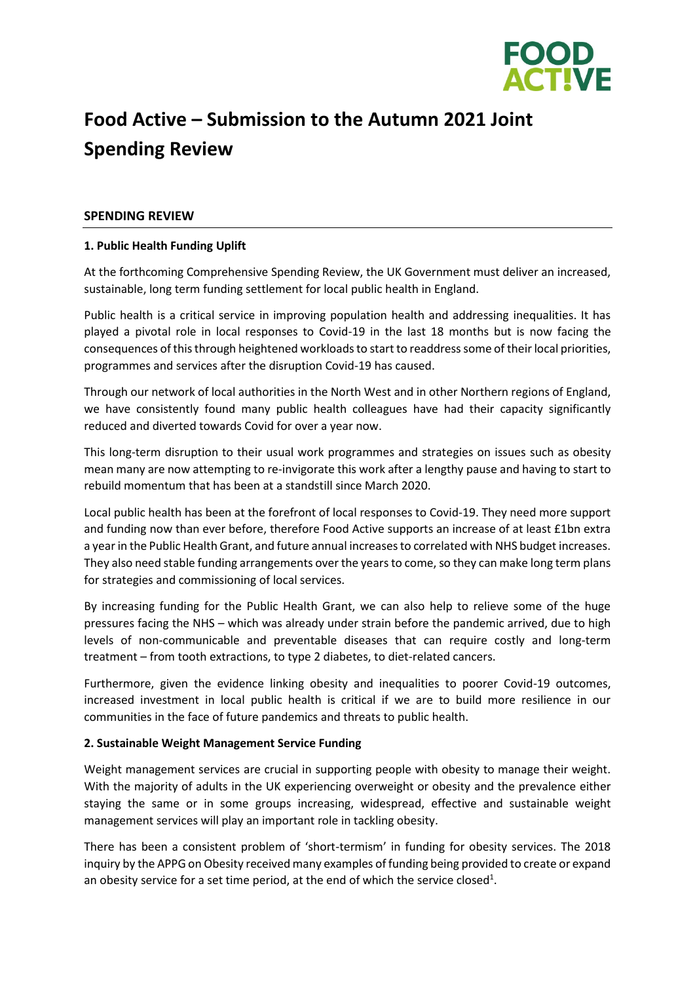

# **Food Active – Submission to the Autumn 2021 Joint Spending Review**

### **SPENDING REVIEW**

### **1. Public Health Funding Uplift**

At the forthcoming Comprehensive Spending Review, the UK Government must deliver an increased, sustainable, long term funding settlement for local public health in England.

Public health is a critical service in improving population health and addressing inequalities. It has played a pivotal role in local responses to Covid-19 in the last 18 months but is now facing the consequences of this through heightened workloads to start to readdress some of their local priorities, programmes and services after the disruption Covid-19 has caused.

Through our network of local authorities in the North West and in other Northern regions of England, we have consistently found many public health colleagues have had their capacity significantly reduced and diverted towards Covid for over a year now.

This long-term disruption to their usual work programmes and strategies on issues such as obesity mean many are now attempting to re-invigorate this work after a lengthy pause and having to start to rebuild momentum that has been at a standstill since March 2020.

Local public health has been at the forefront of local responses to Covid-19. They need more support and funding now than ever before, therefore Food Active supports an increase of at least £1bn extra a year in the Public Health Grant, and future annual increases to correlated with NHS budget increases. They also need stable funding arrangements over the years to come, so they can make long term plans for strategies and commissioning of local services.

By increasing funding for the Public Health Grant, we can also help to relieve some of the huge pressures facing the NHS – which was already under strain before the pandemic arrived, due to high levels of non-communicable and preventable diseases that can require costly and long-term treatment – from tooth extractions, to type 2 diabetes, to diet-related cancers.

Furthermore, given the evidence linking obesity and inequalities to poorer Covid-19 outcomes, increased investment in local public health is critical if we are to build more resilience in our communities in the face of future pandemics and threats to public health.

#### **2. Sustainable Weight Management Service Funding**

Weight management services are crucial in supporting people with obesity to manage their weight. With the majority of adults in the UK experiencing overweight or obesity and the prevalence either staying the same or in some groups increasing, widespread, effective and sustainable weight management services will play an important role in tackling obesity.

There has been a consistent problem of 'short-termism' in funding for obesity services. The 2018 inquiry by the APPG on Obesity received many examples of funding being provided to create or expand an obesity service for a set time period, at the end of which the service closed<sup>1</sup>.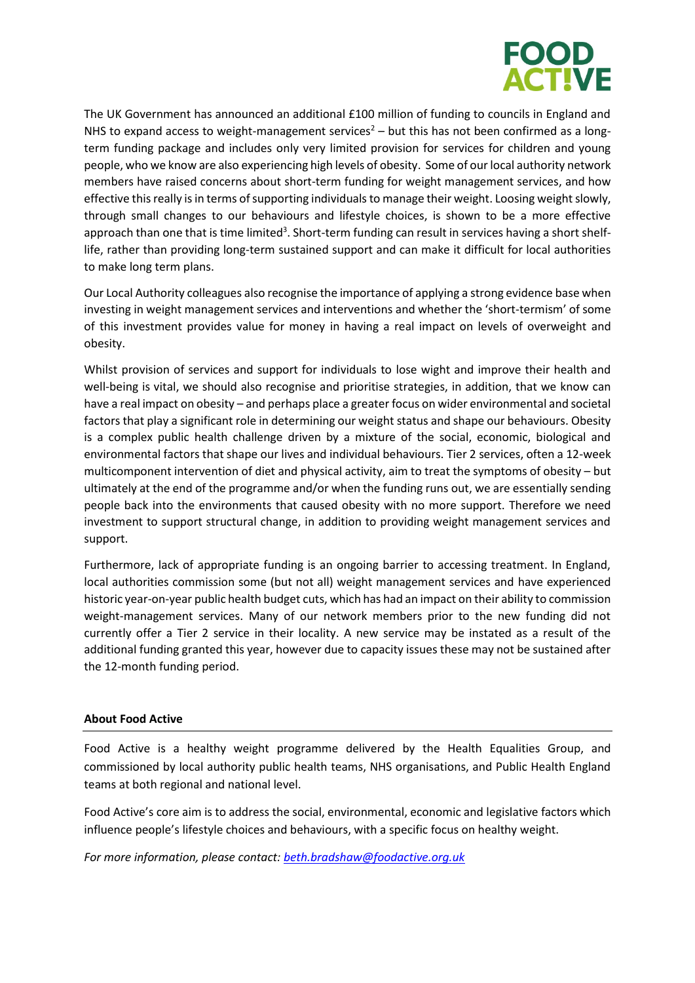

The UK Government has announced an additional £100 million of funding to councils in England and NHS to expand access to weight-management services<sup>2</sup> – but this has not been confirmed as a longterm funding package and includes only very limited provision for services for children and young people, who we know are also experiencing high levels of obesity. Some of our local authority network members have raised concerns about short-term funding for weight management services, and how effective this really is in terms of supporting individuals to manage their weight. Loosing weight slowly, through small changes to our behaviours and lifestyle choices, is shown to be a more effective approach than one that is time limited<sup>3</sup>. Short-term funding can result in services having a short shelflife, rather than providing long-term sustained support and can make it difficult for local authorities to make long term plans.

Our Local Authority colleagues also recognise the importance of applying a strong evidence base when investing in weight management services and interventions and whether the 'short-termism' of some of this investment provides value for money in having a real impact on levels of overweight and obesity.

Whilst provision of services and support for individuals to lose wight and improve their health and well-being is vital, we should also recognise and prioritise strategies, in addition, that we know can have a real impact on obesity – and perhaps place a greater focus on wider environmental and societal factors that play a significant role in determining our weight status and shape our behaviours. Obesity is a complex public health challenge driven by a mixture of the social, economic, biological and environmental factors that shape our lives and individual behaviours. Tier 2 services, often a 12-week multicomponent intervention of diet and physical activity, aim to treat the symptoms of obesity – but ultimately at the end of the programme and/or when the funding runs out, we are essentially sending people back into the environments that caused obesity with no more support. Therefore we need investment to support structural change, in addition to providing weight management services and support.

Furthermore, lack of appropriate funding is an ongoing barrier to accessing treatment. In England, local authorities commission some (but not all) weight management services and have experienced historic year-on-year public health budget cuts, which has had an impact on their ability to commission weight-management services. Many of our network members prior to the new funding did not currently offer a Tier 2 service in their locality. A new service may be instated as a result of the additional funding granted this year, however due to capacity issues these may not be sustained after the 12-month funding period.

## **About Food Active**

Food Active is a healthy weight programme delivered by the Health Equalities Group, and commissioned by local authority public health teams, NHS organisations, and Public Health England teams at both regional and national level.

Food Active's core aim is to address the social, environmental, economic and legislative factors which influence people's lifestyle choices and behaviours, with a specific focus on healthy weight.

*For more information, please contact: [beth.bradshaw@foodactive.org.uk](mailto:beth.bradshaw@foodactive.org.uk)*